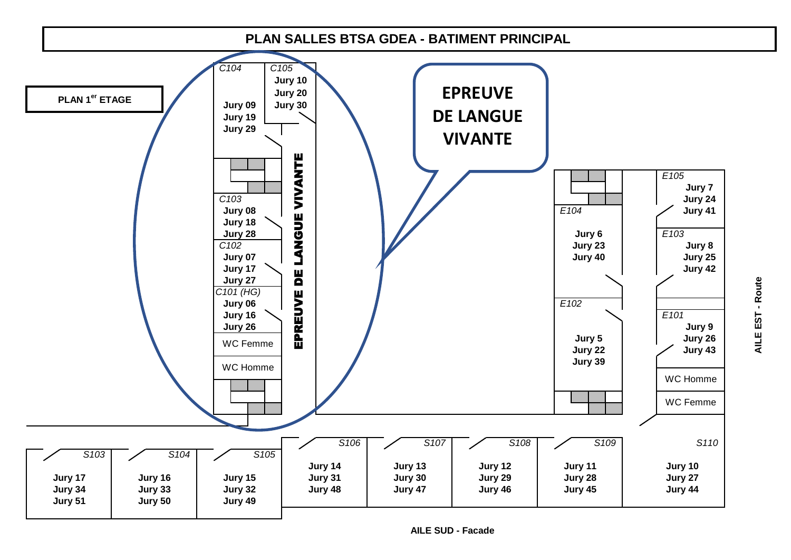

**AILE SUD - Facade**

**AILE EST - Route**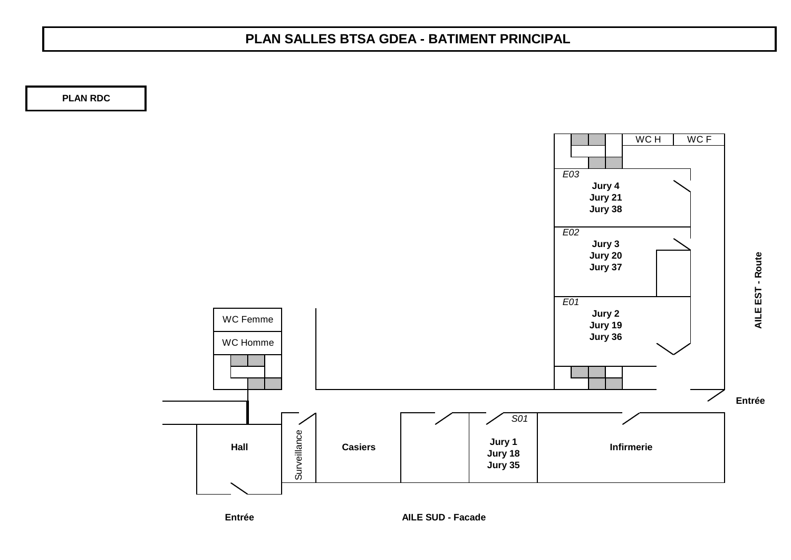## **PLAN SALLES BTSA GDEA - BATIMENT PRINCIPAL**

**PLAN RDC**



**AILE EST - Route**

AILE EST - Route

**Entrée**

**AILE SUD - Facade**